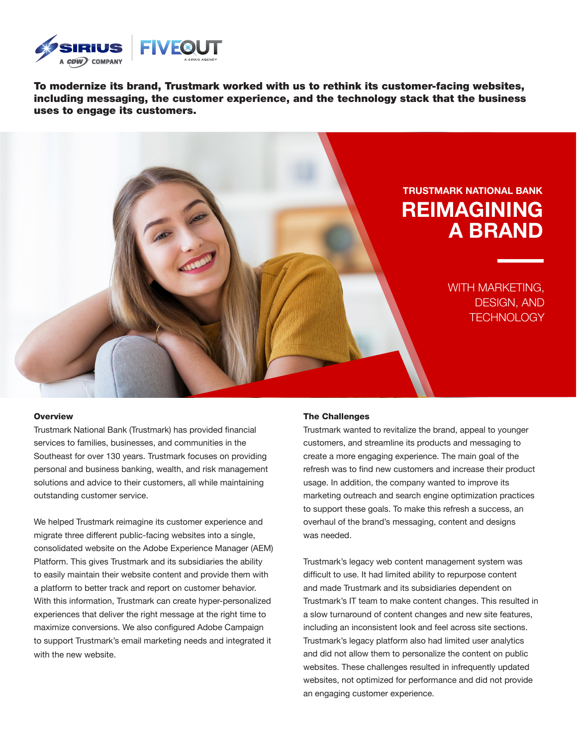

To modernize its brand, Trustmark worked with us to rethink its customer-facing websites, including messaging, the customer experience, and the technology stack that the business uses to engage its customers.



#### **Overview**

Trustmark National Bank (Trustmark) has provided financial services to families, businesses, and communities in the Southeast for over 130 years. Trustmark focuses on providing personal and business banking, wealth, and risk management solutions and advice to their customers, all while maintaining outstanding customer service.

We helped Trustmark reimagine its customer experience and migrate three different public-facing websites into a single, consolidated website on the Adobe Experience Manager (AEM) Platform. This gives Trustmark and its subsidiaries the ability to easily maintain their website content and provide them with a platform to better track and report on customer behavior. With this information, Trustmark can create hyper-personalized experiences that deliver the right message at the right time to maximize conversions. We also configured Adobe Campaign to support Trustmark's email marketing needs and integrated it with the new website.

#### The Challenges

Trustmark wanted to revitalize the brand, appeal to younger customers, and streamline its products and messaging to create a more engaging experience. The main goal of the refresh was to find new customers and increase their product usage. In addition, the company wanted to improve its marketing outreach and search engine optimization practices to support these goals. To make this refresh a success, an overhaul of the brand's messaging, content and designs was needed.

Trustmark's legacy web content management system was difficult to use. It had limited ability to repurpose content and made Trustmark and its subsidiaries dependent on Trustmark's IT team to make content changes. This resulted in a slow turnaround of content changes and new site features, including an inconsistent look and feel across site sections. Trustmark's legacy platform also had limited user analytics and did not allow them to personalize the content on public websites. These challenges resulted in infrequently updated websites, not optimized for performance and did not provide an engaging customer experience.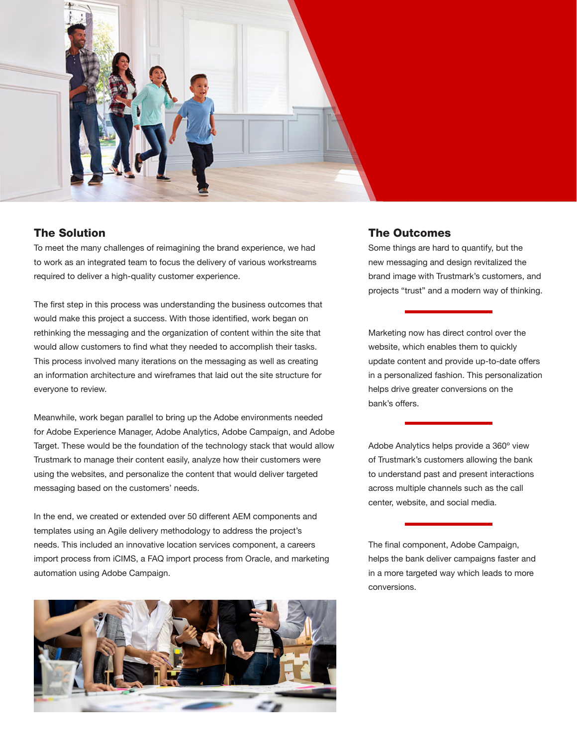

## The Solution

To meet the many challenges of reimagining the brand experience, we had to work as an integrated team to focus the delivery of various workstreams required to deliver a high-quality customer experience.

The first step in this process was understanding the business outcomes that would make this project a success. With those identified, work began on rethinking the messaging and the organization of content within the site that would allow customers to find what they needed to accomplish their tasks. This process involved many iterations on the messaging as well as creating an information architecture and wireframes that laid out the site structure for everyone to review.

Meanwhile, work began parallel to bring up the Adobe environments needed for Adobe Experience Manager, Adobe Analytics, Adobe Campaign, and Adobe Target. These would be the foundation of the technology stack that would allow Trustmark to manage their content easily, analyze how their customers were using the websites, and personalize the content that would deliver targeted messaging based on the customers' needs.

In the end, we created or extended over 50 different AEM components and templates using an Agile delivery methodology to address the project's needs. This included an innovative location services component, a careers import process from iCIMS, a FAQ import process from Oracle, and marketing automation using Adobe Campaign.



## The Outcomes

Some things are hard to quantify, but the new messaging and design revitalized the brand image with Trustmark's customers, and projects "trust" and a modern way of thinking.

Marketing now has direct control over the website, which enables them to quickly update content and provide up-to-date offers in a personalized fashion. This personalization helps drive greater conversions on the bank's offers.

Adobe Analytics helps provide a 360º view of Trustmark's customers allowing the bank to understand past and present interactions across multiple channels such as the call center, website, and social media.

The final component, Adobe Campaign, helps the bank deliver campaigns faster and in a more targeted way which leads to more conversions.